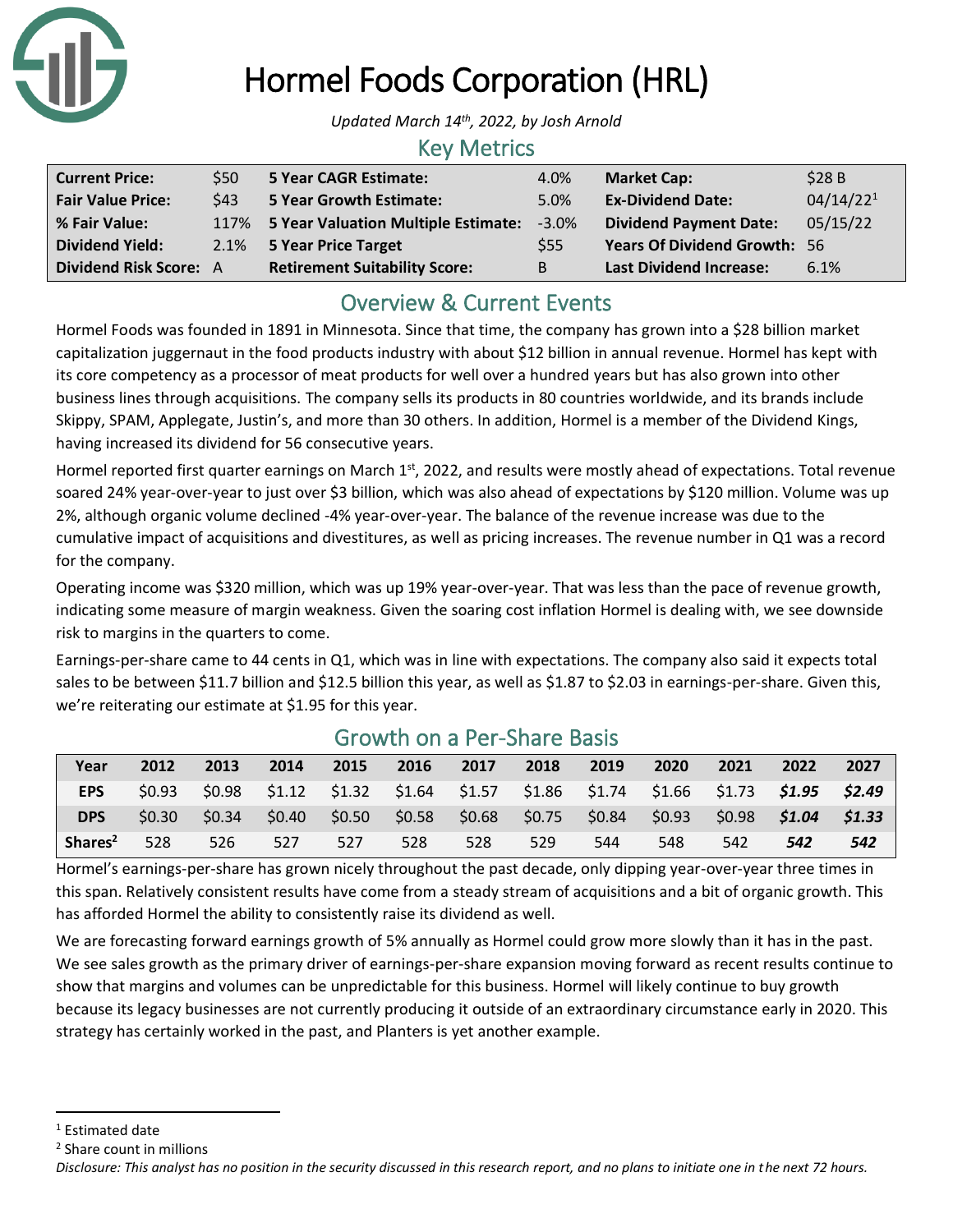

# Hormel Foods Corporation (HRL)

*Updated March 14th , 2022, by Josh Arnold*

#### Key Metrics

| <b>Current Price:</b>         | \$50 | 5 Year CAGR Estimate:                    | 4.0%       | <b>Market Cap:</b>                  | \$28B                 |
|-------------------------------|------|------------------------------------------|------------|-------------------------------------|-----------------------|
| <b>Fair Value Price:</b>      | \$43 | 5 Year Growth Estimate:                  | 5.0%       | <b>Ex-Dividend Date:</b>            | 04/14/22 <sup>1</sup> |
| % Fair Value:                 |      | 117% 5 Year Valuation Multiple Estimate: | $-3.0\%$   | <b>Dividend Payment Date:</b>       | 05/15/22              |
| <b>Dividend Yield:</b>        |      | 2.1% 5 Year Price Target                 | <b>S55</b> | <b>Years Of Dividend Growth: 56</b> |                       |
| <b>Dividend Risk Score: A</b> |      | <b>Retirement Suitability Score:</b>     | B          | <b>Last Dividend Increase:</b>      | 6.1%                  |

# Overview & Current Events

Hormel Foods was founded in 1891 in Minnesota. Since that time, the company has grown into a \$28 billion market capitalization juggernaut in the food products industry with about \$12 billion in annual revenue. Hormel has kept with its core competency as a processor of meat products for well over a hundred years but has also grown into other business lines through acquisitions. The company sells its products in 80 countries worldwide, and its brands include Skippy, SPAM, Applegate, Justin's, and more than 30 others. In addition, Hormel is a member of the Dividend Kings, having increased its dividend for 56 consecutive years.

Hormel reported first quarter earnings on March 1<sup>st</sup>, 2022, and results were mostly ahead of expectations. Total revenue soared 24% year-over-year to just over \$3 billion, which was also ahead of expectations by \$120 million. Volume was up 2%, although organic volume declined -4% year-over-year. The balance of the revenue increase was due to the cumulative impact of acquisitions and divestitures, as well as pricing increases. The revenue number in Q1 was a record for the company.

Operating income was \$320 million, which was up 19% year-over-year. That was less than the pace of revenue growth, indicating some measure of margin weakness. Given the soaring cost inflation Hormel is dealing with, we see downside risk to margins in the quarters to come.

Earnings-per-share came to 44 cents in Q1, which was in line with expectations. The company also said it expects total sales to be between \$11.7 billion and \$12.5 billion this year, as well as \$1.87 to \$2.03 in earnings-per-share. Given this, we're reiterating our estimate at \$1.95 for this year.

| Year                | 2012   | 2013   | 2014 | 2015 | 2016                                                                                | 2017 | 2018 | 2019 | 2020   | 2021 | 2022                    | 2027 |
|---------------------|--------|--------|------|------|-------------------------------------------------------------------------------------|------|------|------|--------|------|-------------------------|------|
| <b>EPS</b>          | \$0.93 |        |      |      | \$0.98 \$1.12 \$1.32 \$1.64 \$1.57 \$1.86 \$1.74 \$1.66 \$1.73 <b>\$1.95 \$2.49</b> |      |      |      |        |      |                         |      |
| <b>DPS</b>          | \$0.30 | \$0.34 |      |      | $$0.40$ $$0.50$ $$0.58$ $$0.68$ $$0.75$ $$0.84$                                     |      |      |      | \$0.93 |      | $$0.98$ $$1.04$ $$1.33$ |      |
| Shares <sup>2</sup> | 528    | 526    | 527  | 527  | 528                                                                                 | 528  | 529  | 544  | 548    | 542  | 542                     | 542  |

## Growth on a Per-Share Basis

Hormel's earnings-per-share has grown nicely throughout the past decade, only dipping year-over-year three times in this span. Relatively consistent results have come from a steady stream of acquisitions and a bit of organic growth. This has afforded Hormel the ability to consistently raise its dividend as well.

We are forecasting forward earnings growth of 5% annually as Hormel could grow more slowly than it has in the past. We see sales growth as the primary driver of earnings-per-share expansion moving forward as recent results continue to show that margins and volumes can be unpredictable for this business. Hormel will likely continue to buy growth because its legacy businesses are not currently producing it outside of an extraordinary circumstance early in 2020. This strategy has certainly worked in the past, and Planters is yet another example.

<sup>&</sup>lt;sup>1</sup> Estimated date

<sup>2</sup> Share count in millions

*Disclosure: This analyst has no position in the security discussed in this research report, and no plans to initiate one in the next 72 hours.*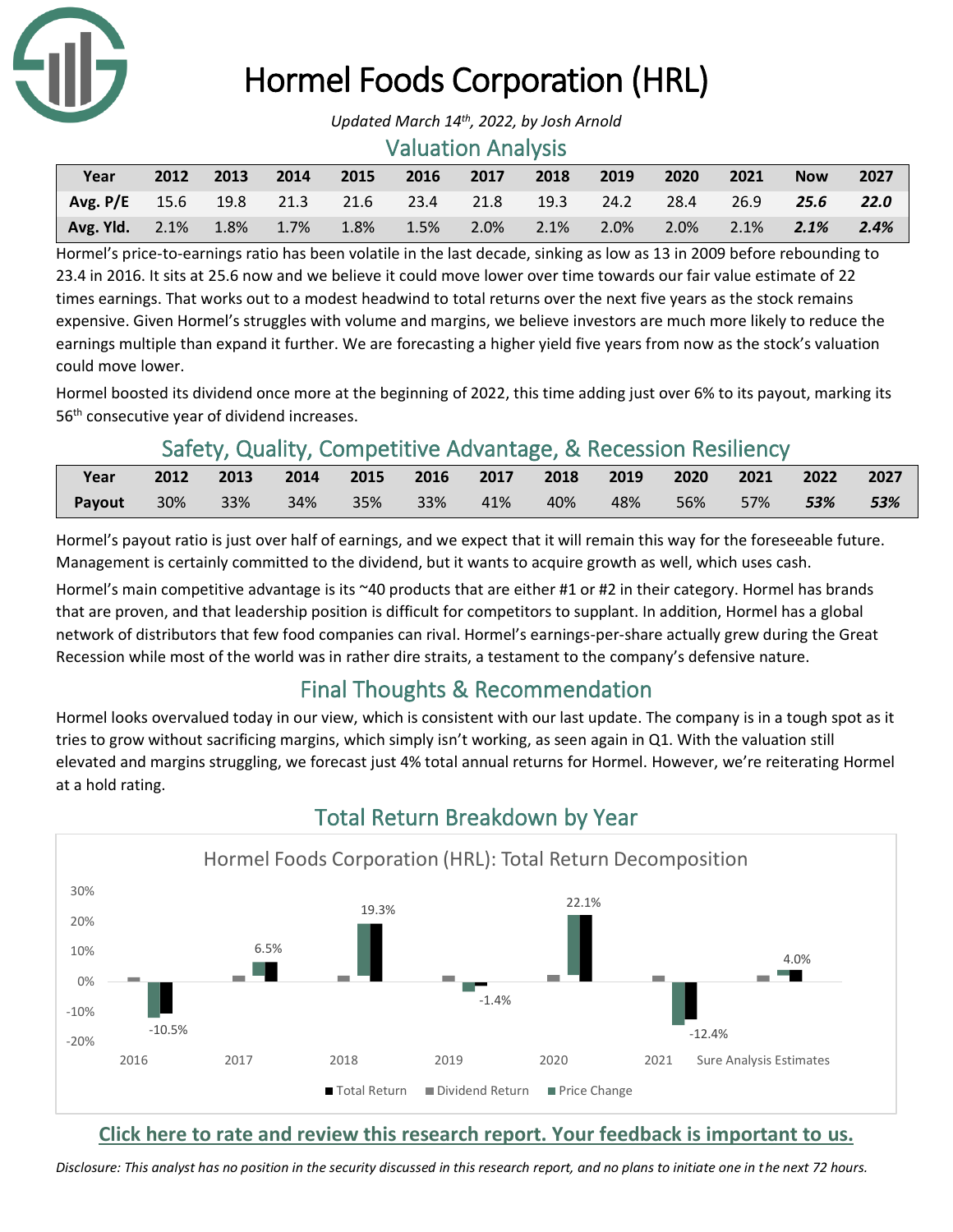

# Hormel Foods Corporation (HRL)

#### Valuation Analysis

| Year                                                       | 2012 | 2013 | $\sim$ 2014 | 2015 | 2016                | 2017     | 2018      | 2019 | 2020      | 2021 | <b>Now</b> | 2027 |
|------------------------------------------------------------|------|------|-------------|------|---------------------|----------|-----------|------|-----------|------|------------|------|
| Avg. P/E 15.6 19.8 21.3 21.6 23.4 21.8 19.3 24.2 28.4 26.9 |      |      |             |      |                     |          |           |      |           |      | 25.6 22.0  |      |
| Avg. Yld. $2.1\%$                                          |      |      |             |      | 1.8% 1.7% 1.8% 1.5% | $-2.0\%$ | 2.1% 2.0% |      | 2.0% 2.1% |      | 2.1%       | 2.4% |

Hormel's price-to-earnings ratio has been volatile in the last decade, sinking as low as 13 in 2009 before rebounding to 23.4 in 2016. It sits at 25.6 now and we believe it could move lower over time towards our fair value estimate of 22 times earnings. That works out to a modest headwind to total returns over the next five years as the stock remains expensive. Given Hormel's struggles with volume and margins, we believe investors are much more likely to reduce the earnings multiple than expand it further. We are forecasting a higher yield five years from now as the stock's valuation could move lower.

Hormel boosted its dividend once more at the beginning of 2022, this time adding just over 6% to its payout, marking its 56th consecutive year of dividend increases.

# Safety, Quality, Competitive Advantage, & Recession Resiliency

| Year   | 2012 2013 |     |         |         | 2014 2015 2016 2017 2018 2019 |     | 2020 2021 2022 |          |     | 2027 |
|--------|-----------|-----|---------|---------|-------------------------------|-----|----------------|----------|-----|------|
| Payout | 30%  33%  | 34% | 35% 33% | $-41\%$ | 40%                           | 48% |                | 56%  57% | 53% | 53%  |

Hormel's payout ratio is just over half of earnings, and we expect that it will remain this way for the foreseeable future. Management is certainly committed to the dividend, but it wants to acquire growth as well, which uses cash.

Hormel's main competitive advantage is its ~40 products that are either #1 or #2 in their category. Hormel has brands that are proven, and that leadership position is difficult for competitors to supplant. In addition, Hormel has a global network of distributors that few food companies can rival. Hormel's earnings-per-share actually grew during the Great Recession while most of the world was in rather dire straits, a testament to the company's defensive nature.

# Final Thoughts & Recommendation

Hormel looks overvalued today in our view, which is consistent with our last update. The company is in a tough spot as it tries to grow without sacrificing margins, which simply isn't working, as seen again in Q1. With the valuation still elevated and margins struggling, we forecast just 4% total annual returns for Hormel. However, we're reiterating Hormel at a hold rating.



# Total Return Breakdown by Year

### **[Click here to rate and review this research report. Your feedback is important to us.](https://suredividend.typeform.com/to/e7Q96E)**

*Disclosure: This analyst has no position in the security discussed in this research report, and no plans to initiate one in the next 72 hours.*

*Updated March 14th , 2022, by Josh Arnold*